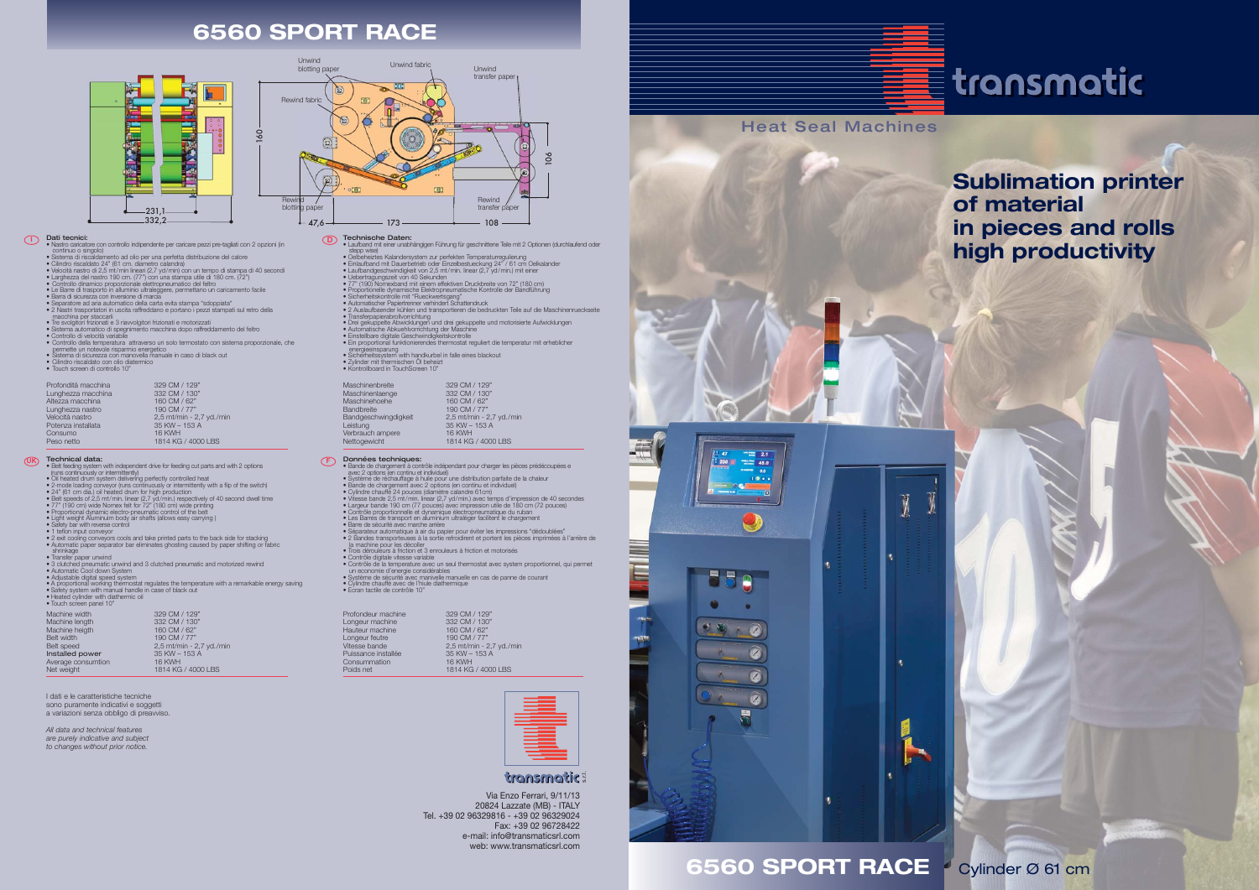

| Maschinenbreite      | 329 CM / 129"            |
|----------------------|--------------------------|
| Maschinenlaenge      | 332 CM / 130"            |
| Maschinehoehe        | 160 CM / 62"             |
| Bandbreite           | 190 CM / 77"             |
| Bandgeschwingdigkeit | 2,5 mt/min - 2,7 yd./min |
| Leistung             | 35 KW - 153 A            |
| Verbrauch ampere     | <b>16 KWH</b>            |
| Nettogewicht         | 1814 KG / 4000 LBS       |
|                      |                          |



## **6560 SPORT RACE**

# $\equiv$  transmatic

- Technische Daten: Laufband mit einer unabhängigen Führung für geschnittene Teile mit 2 Optionen (durchlaufend oder
- 
- 
- 
- 
- 
- 
- 
- 
- 
- 
- stepp wise)<br>
stepp wise)<br>
Celbeheiztes Kalandersystem zur perfekten Temperaturregulierung<br>
 Einlaufbandgenchwindgkeit von 2,5 mf/min. linear (2,7 yd/min.) mit einer<br>
 Leubehragungszeit von 40 Sekunden<br>
 Uebertragungszei
- 
- Sicherheitssystem with handkurbel in falle eines blackout Zylinder mit thermischen Öl beheizt • Kontrollboard in TouchScreen 10"

- **Données techniques:**<br>• Bande de chargement à contrôle indépendant pour charger les pièces prédécoupées e<br><sup>-</sup> avec 2 options (en continu et individuel)
- 
- 
- 
- 
- 
- 
- Système de réchauffage à huile pour une distribution parfaite de la chaleur<br>• Bande de chargement avec 2 options (en continu et individuel)<br>• Virese bande 2,5 m/min. linear (2,7 vd/min.) avec temps d'impression de 40 sec
- 
- 
- Contrôle de la temperature avec un seul thermostat avec system proportionnel, qui permet
- un economie d'energie considérables Système de sécurité avec manivelle manuelle en cas de panne de courant Cylindre chauffé avec de l'hiule diathermique Ecran tactile de contrôle 10"
- 
- 

Prof Lon



- **IDati tecnici:**<br>• Nastro caricatore con controllo indipendente per caricare pezzi pre-tagliati con 2 opzioni (in
	-
	-
	-
	-
	-
	-
	-
	-
	- Nation caricatore con controllo indipendente per caricare pezzi pre-tagliati con 2 opzioni (in<br>• Sistema di riscaldamento ad olio per una perfetta distribuzione del calore<br>• Cilindro riscaldato 24' (61 cm. diametro calan
	-
	-
	-

- **UK F**
	-
	-
	-
	-
	-
	-
	-
- **Technical data:**<br> **Technical data:**<br> **Technical data:**<br> **TECHNICAL data:**<br> **TECHNICAL DATA:**<br> **TECHNICAL DATA:**<br> **TECHNICAL DATA:**<br> **TECHNICAL DATA:**<br> **TECHNICAL DATA:**<br> **TECHNICAL DATA:**<br> **TECHNICAL DATA:**<br> **TECHNICAL DA** 
	-
	- Transfer paper unwind 3 clutched pneumatic unwind and 3 clutched pneumatic and motorized rewind Automatic Cool down System
	-
	-
	- Adjustable digital speed system<br>• A proportional working thermostat regulates the temperature with a remarkable energy saving<br>• Safety system with manual handle in case of black out
	- Heated cylinder with diathermic oil Touch screen panel 10"

### **D**

| Profondità macchina | 329 CM / 129"            |
|---------------------|--------------------------|
| Lunghezza macchina  | 332 CM / 130"            |
| Altezza macchina    | 160 CM / 62"             |
| Lunghezza nastro    | 190 CM / 77"             |
| Velocità nastro     | 2,5 mt/min - 2,7 yd./min |
| Potenza installata  | 35 KW - 153 A            |
| Consumo             | <b>16 KWH</b>            |
| Peso netto          | 1814 KG / 4000 LBS       |

| Profondeur machine<br>Longeur machine<br>Hauteur machine<br>Longeur feutre<br>Vitesse bande | 329 CM / 129"<br>332 CM / 130"<br>160 CM / 62"<br>190 CM / 77"<br>2,5 mt/min - 2,7 yd./min |
|---------------------------------------------------------------------------------------------|--------------------------------------------------------------------------------------------|
|                                                                                             |                                                                                            |
|                                                                                             |                                                                                            |
|                                                                                             |                                                                                            |
| Puissance installée                                                                         | 35 KW - 153 A                                                                              |
| Consummation                                                                                | <b>16 KWH</b>                                                                              |
| Poids net                                                                                   | 1814 KG / 4000 LBS                                                                         |
|                                                                                             |                                                                                            |



## transmatic:

| long is seeking in the |                          |
|------------------------|--------------------------|
| Machine width          | 329 CM / 129"            |
| Machine length         | 332 CM / 130"            |
| Machine heigth         | 160 CM / 62"             |
| Belt width             | 190 CM / 77"             |
| <b>Belt speed</b>      | 2,5 mt/min - 2,7 yd./min |
| Installed power        | 35 KW - 153 A            |
| Average consumtion     | <b>16 KWH</b>            |
| Net weight             | 1814 KG / 4000 LBS       |

**Sublimation printer of material in pieces and rolls high productivity**

Cylinder Ø 61 cm

I dati e le caratteristiche tecniche sono puramente indicativi e soggetti a variazioni senza obbligo di preavviso.

*All data and technical features are purely indicative and subject to changes without prior notice.*

> Via Enzo Ferrari, 9/11/13 20824 Lazzate (MB) - ITALY Tel. +39 02 96329816 - +39 02 96329024 Fax: +39 02 96728422 e-mail: info@transmaticsrl.com web: www.transmaticsrl.com

## **6560 SPORT RACE**